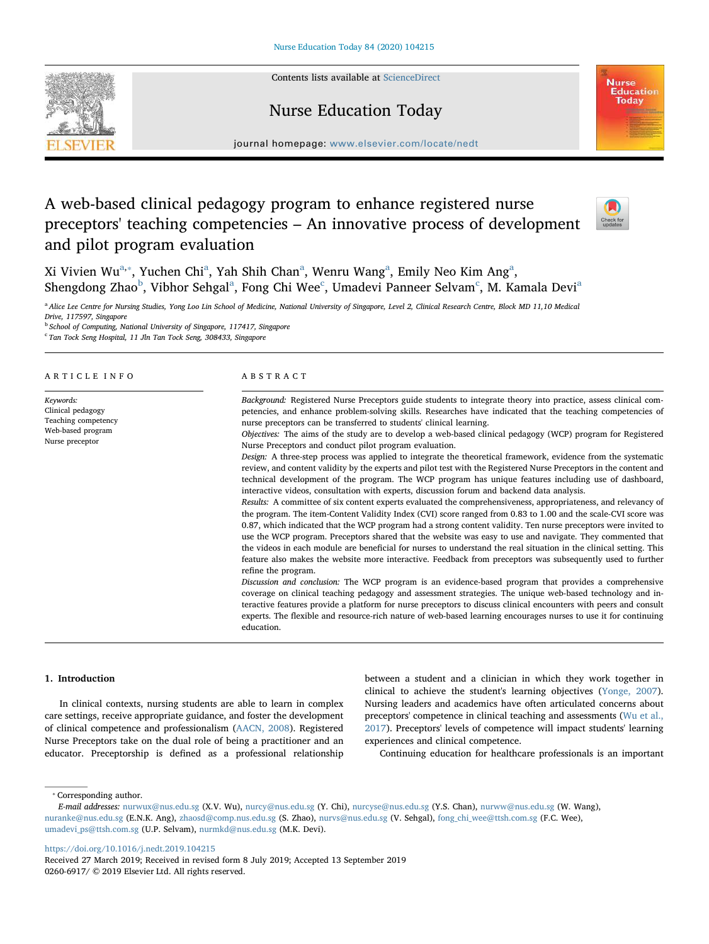Contents lists available at [ScienceDirect](http://www.sciencedirect.com/science/journal/02606917)







journal homepage: [www.elsevier.com/locate/nedt](https://www.elsevier.com/locate/nedt)

# A web-based clinical pedagogy program to enhance registered nurse preceptors' teaching competencies – An innovative process of development and pilot program evaluation



Xi Vivien Wu<sup>[a,](#page-0-0)</sup>\*, Yuchen Chi<sup>[a](#page-0-0)</sup>, Yah Shih Chan<sup>a</sup>, Wenru Wang<sup>a</sup>, Emily Neo Kim Ang<sup>a</sup>, Shengdong Zh[a](#page-0-0)o $^{\rm b}$  $^{\rm b}$  $^{\rm b}$ , Vibhor Sehgal $^{\rm a}$ , Fong Chi Wee $^{\rm c}$  $^{\rm c}$  $^{\rm c}$ , Umadevi Panneer Selvam $^{\rm c}$ , M. Kamala Devi $^{\rm a}$ 

<span id="page-0-0"></span><sup>a</sup> Alice Lee Centre for Nursing Studies, Yong Loo Lin School of Medicine, National University of Singapore, Level 2, Clinical Research Centre, Block MD 11,10 Medical Drive, 117597, Singapore

<span id="page-0-2"></span>

<sup>b</sup> School of Computing, National University of Singapore, 117417, Singapore

<span id="page-0-3"></span><sup>c</sup> Tan Tock Seng Hospital, 11 Jln Tan Tock Seng, 308433, Singapore

#### ARTICLE INFO

Keywords: Clinical pedagogy Teaching competency Web-based program Nurse preceptor

#### ABSTRACT

Background: Registered Nurse Preceptors guide students to integrate theory into practice, assess clinical competencies, and enhance problem-solving skills. Researches have indicated that the teaching competencies of nurse preceptors can be transferred to students' clinical learning.

Objectives: The aims of the study are to develop a web-based clinical pedagogy (WCP) program for Registered Nurse Preceptors and conduct pilot program evaluation.

Design: A three-step process was applied to integrate the theoretical framework, evidence from the systematic review, and content validity by the experts and pilot test with the Registered Nurse Preceptors in the content and technical development of the program. The WCP program has unique features including use of dashboard, interactive videos, consultation with experts, discussion forum and backend data analysis.

Results: A committee of six content experts evaluated the comprehensiveness, appropriateness, and relevancy of the program. The item-Content Validity Index (CVI) score ranged from 0.83 to 1.00 and the scale-CVI score was 0.87, which indicated that the WCP program had a strong content validity. Ten nurse preceptors were invited to use the WCP program. Preceptors shared that the website was easy to use and navigate. They commented that the videos in each module are beneficial for nurses to understand the real situation in the clinical setting. This feature also makes the website more interactive. Feedback from preceptors was subsequently used to further refine the program.

Discussion and conclusion: The WCP program is an evidence-based program that provides a comprehensive coverage on clinical teaching pedagogy and assessment strategies. The unique web-based technology and interactive features provide a platform for nurse preceptors to discuss clinical encounters with peers and consult experts. The flexible and resource-rich nature of web-based learning encourages nurses to use it for continuing education.

# 1. Introduction

In clinical contexts, nursing students are able to learn in complex care settings, receive appropriate guidance, and foster the development of clinical competence and professionalism ([AACN, 2008](#page-7-0)). Registered Nurse Preceptors take on the dual role of being a practitioner and an educator. Preceptorship is defined as a professional relationship

between a student and a clinician in which they work together in clinical to achieve the student's learning objectives ([Yonge, 2007](#page-8-0)). Nursing leaders and academics have often articulated concerns about preceptors' competence in clinical teaching and assessments ([Wu et al.,](#page-8-1) [2017\)](#page-8-1). Preceptors' levels of competence will impact students' learning experiences and clinical competence.

Continuing education for healthcare professionals is an important

<span id="page-0-1"></span>⁎ Corresponding author.

<https://doi.org/10.1016/j.nedt.2019.104215>

E-mail addresses: [nurwux@nus.edu.sg](mailto:nurwux@nus.edu.sg) (X.V. Wu), [nurcy@nus.edu.sg](mailto:nurcy@nus.edu.sg) (Y. Chi), [nurcyse@nus.edu.sg](mailto:nurcyse@nus.edu.sg) (Y.S. Chan), [nurww@nus.edu.sg](mailto:nurww@nus.edu.sg) (W. Wang), [nuranke@nus.edu.sg](mailto:nuranke@nus.edu.sg) (E.N.K. Ang), [zhaosd@comp.nus.edu.sg](mailto:zhaosd@comp.nus.edu.sg) (S. Zhao), [nurvs@nus.edu.sg](mailto:nurvs@nus.edu.sg) (V. Sehgal), [fong\\_chi\\_wee@ttsh.com.sg](mailto:fong_chi_wee@ttsh.com.sg) (F.C. Wee), [umadevi\\_ps@ttsh.com.sg](mailto:umadevi_ps@ttsh.com.sg) (U.P. Selvam), [nurmkd@nus.edu.sg](mailto:nurmkd@nus.edu.sg) (M.K. Devi).

Received 27 March 2019; Received in revised form 8 July 2019; Accepted 13 September 2019 0260-6917/ © 2019 Elsevier Ltd. All rights reserved.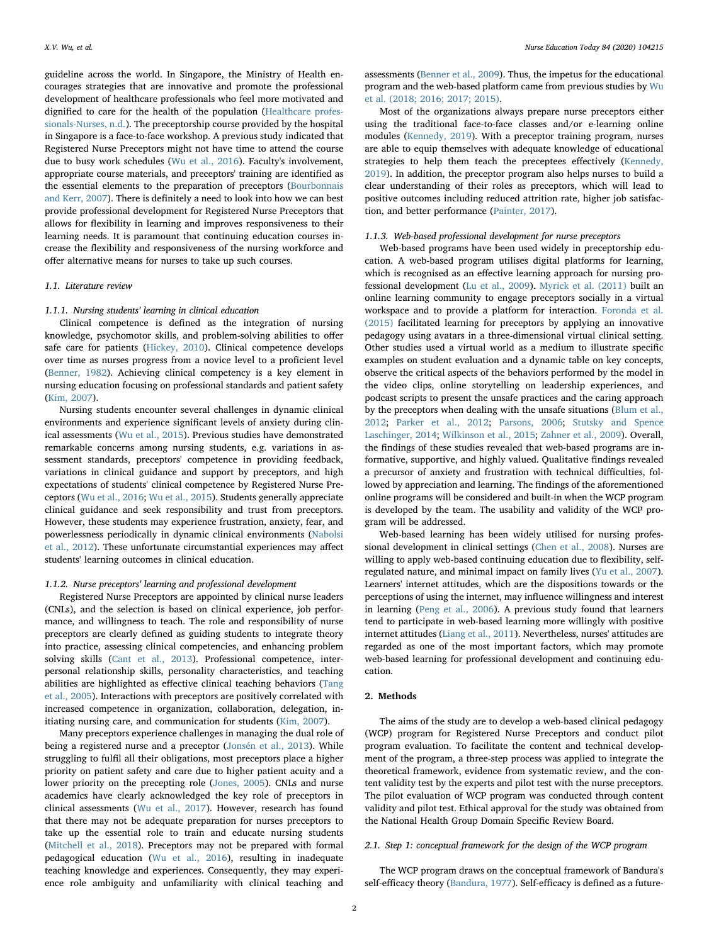guideline across the world. In Singapore, the Ministry of Health encourages strategies that are innovative and promote the professional development of healthcare professionals who feel more motivated and dignified to care for the health of the population ([Healthcare profes](#page-7-1)[sionals-Nurses, n.d.\)](#page-7-1). The preceptorship course provided by the hospital in Singapore is a face-to-face workshop. A previous study indicated that Registered Nurse Preceptors might not have time to attend the course due to busy work schedules [\(Wu et al., 2016\)](#page-8-2). Faculty's involvement, appropriate course materials, and preceptors' training are identified as the essential elements to the preparation of preceptors [\(Bourbonnais](#page-7-2) [and Kerr, 2007](#page-7-2)). There is definitely a need to look into how we can best provide professional development for Registered Nurse Preceptors that allows for flexibility in learning and improves responsiveness to their learning needs. It is paramount that continuing education courses increase the flexibility and responsiveness of the nursing workforce and offer alternative means for nurses to take up such courses.

## 1.1. Literature review

#### 1.1.1. Nursing students' learning in clinical education

Clinical competence is defined as the integration of nursing knowledge, psychomotor skills, and problem-solving abilities to offer safe care for patients [\(Hickey, 2010\)](#page-7-3). Clinical competence develops over time as nurses progress from a novice level to a proficient level ([Benner, 1982\)](#page-7-4). Achieving clinical competency is a key element in nursing education focusing on professional standards and patient safety ([Kim, 2007\)](#page-7-5).

Nursing students encounter several challenges in dynamic clinical environments and experience significant levels of anxiety during clinical assessments ([Wu et al., 2015](#page-8-3)). Previous studies have demonstrated remarkable concerns among nursing students, e.g. variations in assessment standards, preceptors' competence in providing feedback, variations in clinical guidance and support by preceptors, and high expectations of students' clinical competence by Registered Nurse Preceptors ([Wu et al., 2016;](#page-8-2) [Wu et al., 2015](#page-8-3)). Students generally appreciate clinical guidance and seek responsibility and trust from preceptors. However, these students may experience frustration, anxiety, fear, and powerlessness periodically in dynamic clinical environments [\(Nabolsi](#page-7-6) [et al., 2012\)](#page-7-6). These unfortunate circumstantial experiences may affect students' learning outcomes in clinical education.

# 1.1.2. Nurse preceptors' learning and professional development

Registered Nurse Preceptors are appointed by clinical nurse leaders (CNLs), and the selection is based on clinical experience, job performance, and willingness to teach. The role and responsibility of nurse preceptors are clearly defined as guiding students to integrate theory into practice, assessing clinical competencies, and enhancing problem solving skills [\(Cant et al., 2013\)](#page-7-7). Professional competence, interpersonal relationship skills, personality characteristics, and teaching abilities are highlighted as effective clinical teaching behaviors [\(Tang](#page-8-4) [et al., 2005](#page-8-4)). Interactions with preceptors are positively correlated with increased competence in organization, collaboration, delegation, initiating nursing care, and communication for students [\(Kim, 2007](#page-7-5)).

Many preceptors experience challenges in managing the dual role of being a registered nurse and a preceptor (Jonsén [et al., 2013\)](#page-7-8). While struggling to fulfil all their obligations, most preceptors place a higher priority on patient safety and care due to higher patient acuity and a lower priority on the precepting role [\(Jones, 2005\)](#page-7-9). CNLs and nurse academics have clearly acknowledged the key role of preceptors in clinical assessments [\(Wu et al., 2017](#page-8-1)). However, research has found that there may not be adequate preparation for nurses preceptors to take up the essential role to train and educate nursing students ([Mitchell et al., 2018\)](#page-7-10). Preceptors may not be prepared with formal pedagogical education ([Wu et al., 2016\)](#page-8-2), resulting in inadequate teaching knowledge and experiences. Consequently, they may experience role ambiguity and unfamiliarity with clinical teaching and assessments [\(Benner et al., 2009\)](#page-7-11). Thus, the impetus for the educational program and the web-based platform came from previous studies by [Wu](#page-8-5) [et al. \(2018; 2016; 2017; 2015\).](#page-8-5)

Most of the organizations always prepare nurse preceptors either using the traditional face-to-face classes and/or e-learning online modules [\(Kennedy, 2019](#page-7-12)). With a preceptor training program, nurses are able to equip themselves with adequate knowledge of educational strategies to help them teach the preceptees effectively ([Kennedy,](#page-7-12) [2019\)](#page-7-12). In addition, the preceptor program also helps nurses to build a clear understanding of their roles as preceptors, which will lead to positive outcomes including reduced attrition rate, higher job satisfaction, and better performance ([Painter, 2017\)](#page-8-6).

## 1.1.3. Web-based professional development for nurse preceptors

Web-based programs have been used widely in preceptorship education. A web-based program utilises digital platforms for learning, which is recognised as an effective learning approach for nursing professional development ([Lu et al., 2009](#page-7-13)). [Myrick et al. \(2011\)](#page-7-14) built an online learning community to engage preceptors socially in a virtual workspace and to provide a platform for interaction. [Foronda et al.](#page-7-15) [\(2015\)](#page-7-15) facilitated learning for preceptors by applying an innovative pedagogy using avatars in a three-dimensional virtual clinical setting. Other studies used a virtual world as a medium to illustrate specific examples on student evaluation and a dynamic table on key concepts, observe the critical aspects of the behaviors performed by the model in the video clips, online storytelling on leadership experiences, and podcast scripts to present the unsafe practices and the caring approach by the preceptors when dealing with the unsafe situations ([Blum et al.,](#page-7-16) [2012;](#page-7-16) [Parker et al., 2012;](#page-8-7) [Parsons, 2006;](#page-8-8) [Stutsky and Spence](#page-8-9) [Laschinger, 2014](#page-8-9); [Wilkinson et al., 2015;](#page-8-10) [Zahner et al., 2009\)](#page-8-11). Overall, the findings of these studies revealed that web-based programs are informative, supportive, and highly valued. Qualitative findings revealed a precursor of anxiety and frustration with technical difficulties, followed by appreciation and learning. The findings of the aforementioned online programs will be considered and built-in when the WCP program is developed by the team. The usability and validity of the WCP program will be addressed.

Web-based learning has been widely utilised for nursing professional development in clinical settings ([Chen et al., 2008\)](#page-7-17). Nurses are willing to apply web-based continuing education due to flexibility, selfregulated nature, and minimal impact on family lives [\(Yu et al., 2007](#page-8-12)). Learners' internet attitudes, which are the dispositions towards or the perceptions of using the internet, may influence willingness and interest in learning [\(Peng et al., 2006\)](#page-8-13). A previous study found that learners tend to participate in web-based learning more willingly with positive internet attitudes ([Liang et al., 2011](#page-7-18)). Nevertheless, nurses' attitudes are regarded as one of the most important factors, which may promote web-based learning for professional development and continuing education.

# 2. Methods

The aims of the study are to develop a web-based clinical pedagogy (WCP) program for Registered Nurse Preceptors and conduct pilot program evaluation. To facilitate the content and technical development of the program, a three-step process was applied to integrate the theoretical framework, evidence from systematic review, and the content validity test by the experts and pilot test with the nurse preceptors. The pilot evaluation of WCP program was conducted through content validity and pilot test. Ethical approval for the study was obtained from the National Health Group Domain Specific Review Board.

## 2.1. Step 1: conceptual framework for the design of the WCP program

The WCP program draws on the conceptual framework of Bandura's self-efficacy theory [\(Bandura, 1977](#page-7-19)). Self-efficacy is defined as a future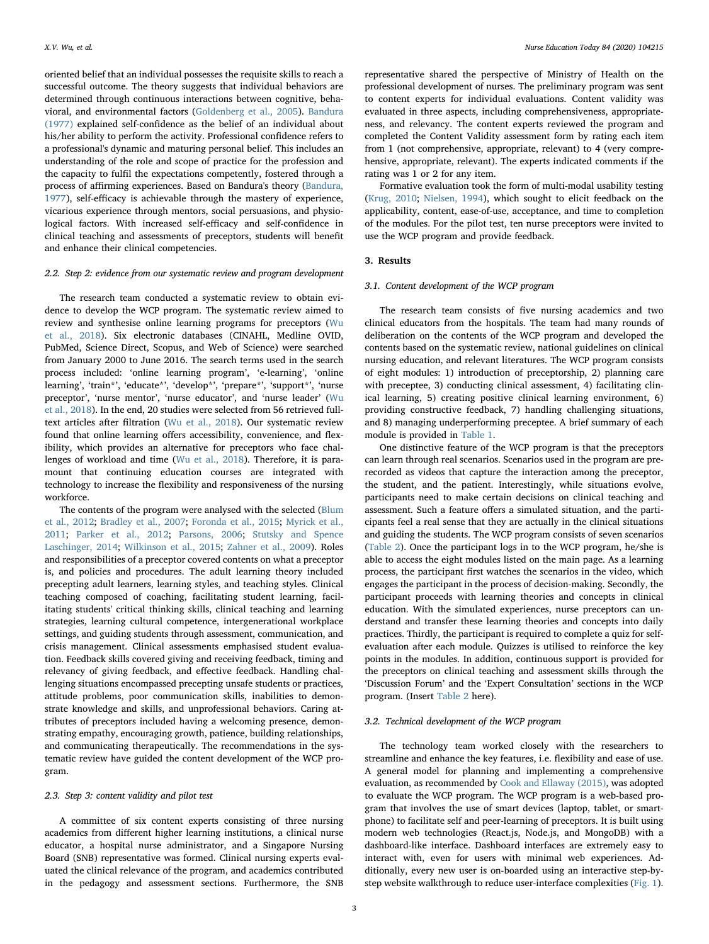oriented belief that an individual possesses the requisite skills to reach a successful outcome. The theory suggests that individual behaviors are determined through continuous interactions between cognitive, behavioral, and environmental factors ([Goldenberg et al., 2005\)](#page-7-20). [Bandura](#page-7-19) [\(1977\)](#page-7-19) explained self-confidence as the belief of an individual about his/her ability to perform the activity. Professional confidence refers to a professional's dynamic and maturing personal belief. This includes an understanding of the role and scope of practice for the profession and the capacity to fulfil the expectations competently, fostered through a process of affirming experiences. Based on Bandura's theory ([Bandura,](#page-7-19) [1977\)](#page-7-19), self-efficacy is achievable through the mastery of experience, vicarious experience through mentors, social persuasions, and physiological factors. With increased self-efficacy and self-confidence in clinical teaching and assessments of preceptors, students will benefit and enhance their clinical competencies.

## 2.2. Step 2: evidence from our systematic review and program development

The research team conducted a systematic review to obtain evidence to develop the WCP program. The systematic review aimed to review and synthesise online learning programs for preceptors ([Wu](#page-8-5) [et al., 2018\)](#page-8-5). Six electronic databases (CINAHL, Medline OVID, PubMed, Science Direct, Scopus, and Web of Science) were searched from January 2000 to June 2016. The search terms used in the search process included: 'online learning program', 'e-learning', 'online learning', 'train\*', 'educate\*', 'develop\*', 'prepare\*', 'support\*', 'nurse preceptor', 'nurse mentor', 'nurse educator', and 'nurse leader' ([Wu](#page-8-5) [et al., 2018](#page-8-5)). In the end, 20 studies were selected from 56 retrieved fulltext articles after filtration ([Wu et al., 2018\)](#page-8-5). Our systematic review found that online learning offers accessibility, convenience, and flexibility, which provides an alternative for preceptors who face challenges of workload and time ([Wu et al., 2018](#page-8-5)). Therefore, it is paramount that continuing education courses are integrated with technology to increase the flexibility and responsiveness of the nursing workforce.

The contents of the program were analysed with the selected [\(Blum](#page-7-16) [et al., 2012](#page-7-16); [Bradley et al., 2007](#page-7-21); [Foronda et al., 2015](#page-7-15); [Myrick et al.,](#page-7-14) [2011;](#page-7-14) [Parker et al., 2012;](#page-8-7) [Parsons, 2006;](#page-8-8) [Stutsky and Spence](#page-8-9) [Laschinger, 2014;](#page-8-9) [Wilkinson et al., 2015](#page-8-10); [Zahner et al., 2009](#page-8-11)). Roles and responsibilities of a preceptor covered contents on what a preceptor is, and policies and procedures. The adult learning theory included precepting adult learners, learning styles, and teaching styles. Clinical teaching composed of coaching, facilitating student learning, facilitating students' critical thinking skills, clinical teaching and learning strategies, learning cultural competence, intergenerational workplace settings, and guiding students through assessment, communication, and crisis management. Clinical assessments emphasised student evaluation. Feedback skills covered giving and receiving feedback, timing and relevancy of giving feedback, and effective feedback. Handling challenging situations encompassed precepting unsafe students or practices, attitude problems, poor communication skills, inabilities to demonstrate knowledge and skills, and unprofessional behaviors. Caring attributes of preceptors included having a welcoming presence, demonstrating empathy, encouraging growth, patience, building relationships, and communicating therapeutically. The recommendations in the systematic review have guided the content development of the WCP program.

## 2.3. Step 3: content validity and pilot test

A committee of six content experts consisting of three nursing academics from different higher learning institutions, a clinical nurse educator, a hospital nurse administrator, and a Singapore Nursing Board (SNB) representative was formed. Clinical nursing experts evaluated the clinical relevance of the program, and academics contributed in the pedagogy and assessment sections. Furthermore, the SNB representative shared the perspective of Ministry of Health on the professional development of nurses. The preliminary program was sent to content experts for individual evaluations. Content validity was evaluated in three aspects, including comprehensiveness, appropriateness, and relevancy. The content experts reviewed the program and completed the Content Validity assessment form by rating each item from 1 (not comprehensive, appropriate, relevant) to 4 (very comprehensive, appropriate, relevant). The experts indicated comments if the rating was 1 or 2 for any item.

Formative evaluation took the form of multi-modal usability testing ([Krug, 2010](#page-7-22); [Nielsen, 1994](#page-8-14)), which sought to elicit feedback on the applicability, content, ease-of-use, acceptance, and time to completion of the modules. For the pilot test, ten nurse preceptors were invited to use the WCP program and provide feedback.

# 3. Results

## 3.1. Content development of the WCP program

The research team consists of five nursing academics and two clinical educators from the hospitals. The team had many rounds of deliberation on the contents of the WCP program and developed the contents based on the systematic review, national guidelines on clinical nursing education, and relevant literatures. The WCP program consists of eight modules: 1) introduction of preceptorship, 2) planning care with preceptee, 3) conducting clinical assessment, 4) facilitating clinical learning, 5) creating positive clinical learning environment, 6) providing constructive feedback, 7) handling challenging situations, and 8) managing underperforming preceptee. A brief summary of each module is provided in [Table 1](#page-3-0).

One distinctive feature of the WCP program is that the preceptors can learn through real scenarios. Scenarios used in the program are prerecorded as videos that capture the interaction among the preceptor, the student, and the patient. Interestingly, while situations evolve, participants need to make certain decisions on clinical teaching and assessment. Such a feature offers a simulated situation, and the participants feel a real sense that they are actually in the clinical situations and guiding the students. The WCP program consists of seven scenarios ([Table 2](#page-3-1)). Once the participant logs in to the WCP program, he/she is able to access the eight modules listed on the main page. As a learning process, the participant first watches the scenarios in the video, which engages the participant in the process of decision-making. Secondly, the participant proceeds with learning theories and concepts in clinical education. With the simulated experiences, nurse preceptors can understand and transfer these learning theories and concepts into daily practices. Thirdly, the participant is required to complete a quiz for selfevaluation after each module. Quizzes is utilised to reinforce the key points in the modules. In addition, continuous support is provided for the preceptors on clinical teaching and assessment skills through the 'Discussion Forum' and the 'Expert Consultation' sections in the WCP program. (Insert [Table 2](#page-3-1) here).

# 3.2. Technical development of the WCP program

The technology team worked closely with the researchers to streamline and enhance the key features, i.e. flexibility and ease of use. A general model for planning and implementing a comprehensive evaluation, as recommended by [Cook and Ellaway \(2015\)](#page-7-23), was adopted to evaluate the WCP program. The WCP program is a web-based program that involves the use of smart devices (laptop, tablet, or smartphone) to facilitate self and peer-learning of preceptors. It is built using modern web technologies (React.js, Node.js, and MongoDB) with a dashboard-like interface. Dashboard interfaces are extremely easy to interact with, even for users with minimal web experiences. Additionally, every new user is on-boarded using an interactive step-bystep website walkthrough to reduce user-interface complexities ([Fig. 1](#page-4-0)).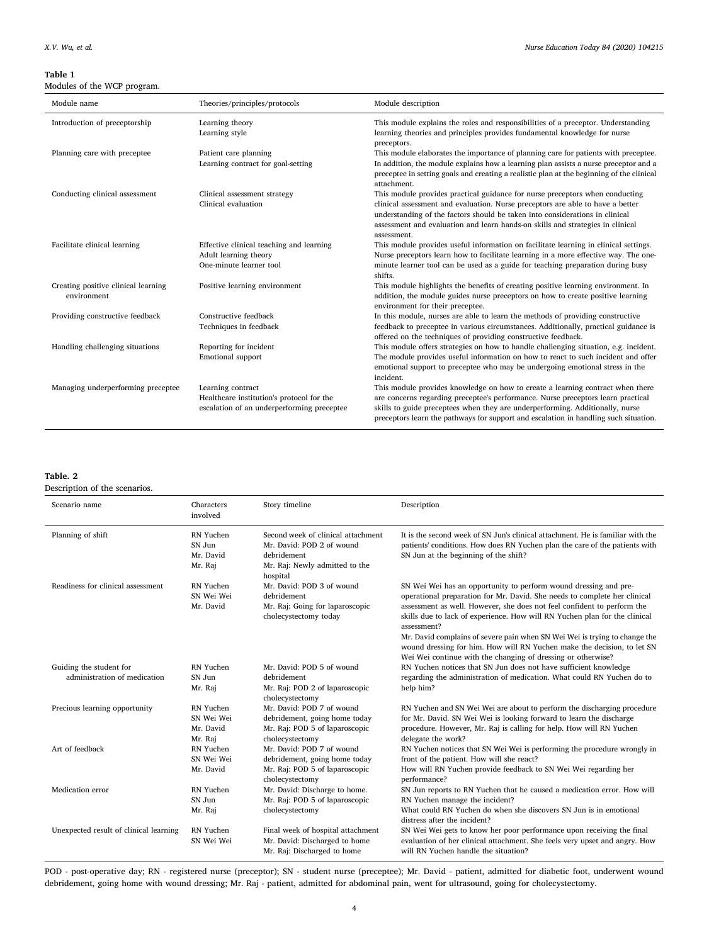# <span id="page-3-0"></span>Table 1

Modules of the WCP program.

| Module name                                        | Theories/principles/protocols                                                                                | Module description                                                                                                                                                                                                                                                                                                                              |
|----------------------------------------------------|--------------------------------------------------------------------------------------------------------------|-------------------------------------------------------------------------------------------------------------------------------------------------------------------------------------------------------------------------------------------------------------------------------------------------------------------------------------------------|
| Introduction of preceptorship                      | Learning theory<br>Learning style                                                                            | This module explains the roles and responsibilities of a preceptor. Understanding<br>learning theories and principles provides fundamental knowledge for nurse<br>preceptors.                                                                                                                                                                   |
| Planning care with preceptee                       | Patient care planning<br>Learning contract for goal-setting                                                  | This module elaborates the importance of planning care for patients with preceptee.<br>In addition, the module explains how a learning plan assists a nurse preceptor and a<br>preceptee in setting goals and creating a realistic plan at the beginning of the clinical<br>attachment.                                                         |
| Conducting clinical assessment                     | Clinical assessment strategy<br>Clinical evaluation                                                          | This module provides practical guidance for nurse preceptors when conducting<br>clinical assessment and evaluation. Nurse preceptors are able to have a better<br>understanding of the factors should be taken into considerations in clinical<br>assessment and evaluation and learn hands-on skills and strategies in clinical<br>assessment. |
| Facilitate clinical learning                       | Effective clinical teaching and learning<br>Adult learning theory<br>One-minute learner tool                 | This module provides useful information on facilitate learning in clinical settings.<br>Nurse preceptors learn how to facilitate learning in a more effective way. The one-<br>minute learner tool can be used as a guide for teaching preparation during busy<br>shifts.                                                                       |
| Creating positive clinical learning<br>environment | Positive learning environment                                                                                | This module highlights the benefits of creating positive learning environment. In<br>addition, the module guides nurse preceptors on how to create positive learning<br>environment for their preceptee.                                                                                                                                        |
| Providing constructive feedback                    | Constructive feedback<br>Techniques in feedback                                                              | In this module, nurses are able to learn the methods of providing constructive<br>feedback to preceptee in various circumstances. Additionally, practical guidance is<br>offered on the techniques of providing constructive feedback.                                                                                                          |
| Handling challenging situations                    | Reporting for incident<br>Emotional support                                                                  | This module offers strategies on how to handle challenging situation, e.g. incident.<br>The module provides useful information on how to react to such incident and offer<br>emotional support to preceptee who may be undergoing emotional stress in the<br>incident.                                                                          |
| Managing underperforming preceptee                 | Learning contract<br>Healthcare institution's protocol for the<br>escalation of an underperforming preceptee | This module provides knowledge on how to create a learning contract when there<br>are concerns regarding preceptee's performance. Nurse preceptors learn practical<br>skills to guide preceptees when they are underperforming. Additionally, nurse<br>preceptors learn the pathways for support and escalation in handling such situation.     |

# <span id="page-3-1"></span>Table. 2

Description of the scenarios.

| Scenario name                                           | Characters<br>involved                          | Story timeline                                                                                                               | Description                                                                                                                                                                                                                                                                                                                                                                                                                                                                                                                                    |
|---------------------------------------------------------|-------------------------------------------------|------------------------------------------------------------------------------------------------------------------------------|------------------------------------------------------------------------------------------------------------------------------------------------------------------------------------------------------------------------------------------------------------------------------------------------------------------------------------------------------------------------------------------------------------------------------------------------------------------------------------------------------------------------------------------------|
| Planning of shift                                       | RN Yuchen<br>SN Jun<br>Mr. David<br>Mr. Raj     | Second week of clinical attachment<br>Mr. David: POD 2 of wound<br>debridement<br>Mr. Raj: Newly admitted to the<br>hospital | It is the second week of SN Jun's clinical attachment. He is familiar with the<br>patients' conditions. How does RN Yuchen plan the care of the patients with<br>SN Jun at the beginning of the shift?                                                                                                                                                                                                                                                                                                                                         |
| Readiness for clinical assessment                       | RN Yuchen<br>SN Wei Wei<br>Mr. David            | Mr. David: POD 3 of wound<br>debridement<br>Mr. Raj: Going for laparoscopic<br>cholecystectomy today                         | SN Wei Wei has an opportunity to perform wound dressing and pre-<br>operational preparation for Mr. David. She needs to complete her clinical<br>assessment as well. However, she does not feel confident to perform the<br>skills due to lack of experience. How will RN Yuchen plan for the clinical<br>assessment?<br>Mr. David complains of severe pain when SN Wei Wei is trying to change the<br>wound dressing for him. How will RN Yuchen make the decision, to let SN<br>Wei Wei continue with the changing of dressing or otherwise? |
| Guiding the student for<br>administration of medication | RN Yuchen<br>SN Jun<br>Mr. Raj                  | Mr. David: POD 5 of wound<br>debridement<br>Mr. Raj: POD 2 of laparoscopic<br>cholecystectomy                                | RN Yuchen notices that SN Jun does not have sufficient knowledge<br>regarding the administration of medication. What could RN Yuchen do to<br>help him?                                                                                                                                                                                                                                                                                                                                                                                        |
| Precious learning opportunity                           | RN Yuchen<br>SN Wei Wei<br>Mr. David<br>Mr. Raj | Mr. David: POD 7 of wound<br>debridement, going home today<br>Mr. Raj: POD 5 of laparoscopic<br>cholecystectomy              | RN Yuchen and SN Wei Wei are about to perform the discharging procedure<br>for Mr. David. SN Wei Wei is looking forward to learn the discharge<br>procedure. However, Mr. Raj is calling for help. How will RN Yuchen<br>delegate the work?                                                                                                                                                                                                                                                                                                    |
| Art of feedback                                         | RN Yuchen<br>SN Wei Wei<br>Mr. David            | Mr. David: POD 7 of wound<br>debridement, going home today<br>Mr. Raj: POD 5 of laparoscopic<br>cholecystectomy              | RN Yuchen notices that SN Wei Wei is performing the procedure wrongly in<br>front of the patient. How will she react?<br>How will RN Yuchen provide feedback to SN Wei Wei regarding her<br>performance?                                                                                                                                                                                                                                                                                                                                       |
| Medication error                                        | RN Yuchen<br>SN Jun<br>Mr. Raj                  | Mr. David: Discharge to home.<br>Mr. Raj: POD 5 of laparoscopic<br>cholecystectomy                                           | SN Jun reports to RN Yuchen that he caused a medication error. How will<br>RN Yuchen manage the incident?<br>What could RN Yuchen do when she discovers SN Jun is in emotional<br>distress after the incident?                                                                                                                                                                                                                                                                                                                                 |
| Unexpected result of clinical learning                  | RN Yuchen<br>SN Wei Wei                         | Final week of hospital attachment<br>Mr. David: Discharged to home<br>Mr. Raj: Discharged to home                            | SN Wei Wei gets to know her poor performance upon receiving the final<br>evaluation of her clinical attachment. She feels very upset and angry. How<br>will RN Yuchen handle the situation?                                                                                                                                                                                                                                                                                                                                                    |

POD - post-operative day; RN - registered nurse (preceptor); SN - student nurse (preceptee); Mr. David - patient, admitted for diabetic foot, underwent wound debridement, going home with wound dressing; Mr. Raj - patient, admitted for abdominal pain, went for ultrasound, going for cholecystectomy.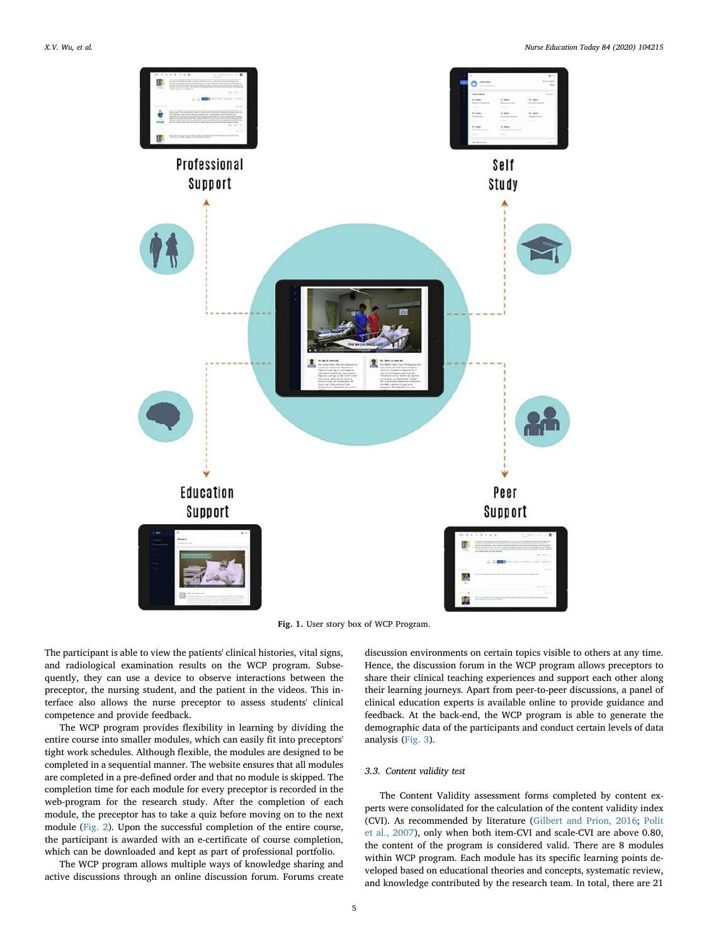<span id="page-4-0"></span>

Fig. 1. User story box of WCP Program.

The participant is able to view the patients' clinical histories, vital signs, and radiological examination results on the WCP program. Subsequently, they can use a device to observe interactions between the preceptor, the nursing student, and the patient in the videos. This interface also allows the nurse preceptor to assess students' clinical competence and provide feedback.

The WCP program provides flexibility in learning by dividing the entire course into smaller modules, which can easily fit into preceptors' tight work schedules. Although flexible, the modules are designed to be completed in a sequential manner. The website ensures that all modules are completed in a pre-defined order and that no module is skipped. The completion time for each module for every preceptor is recorded in the web-program for the research study. After the completion of each module, the preceptor has to take a quiz before moving on to the next module [\(Fig. 2\)](#page-5-0). Upon the successful completion of the entire course, the participant is awarded with an e-certificate of course completion, which can be downloaded and kept as part of professional portfolio.

The WCP program allows multiple ways of knowledge sharing and active discussions through an online discussion forum. Forums create discussion environments on certain topics visible to others at any time. Hence, the discussion forum in the WCP program allows preceptors to share their clinical teaching experiences and support each other along their learning journeys. Apart from peer-to-peer discussions, a panel of clinical education experts is available online to provide guidance and feedback. At the back-end, the WCP program is able to generate the demographic data of the participants and conduct certain levels of data analysis [\(Fig. 3\)](#page-6-0).

# 3.3. Content validity test

The Content Validity assessment forms completed by content experts were consolidated for the calculation of the content validity index (CVI). As recommended by literature [\(Gilbert and Prion, 2016](#page-7-24); [Polit](#page-8-15) [et al., 2007\)](#page-8-15), only when both item-CVI and scale-CVI are above 0.80, the content of the program is considered valid. There are 8 modules within WCP program. Each module has its specific learning points developed based on educational theories and concepts, systematic review, and knowledge contributed by the research team. In total, there are 21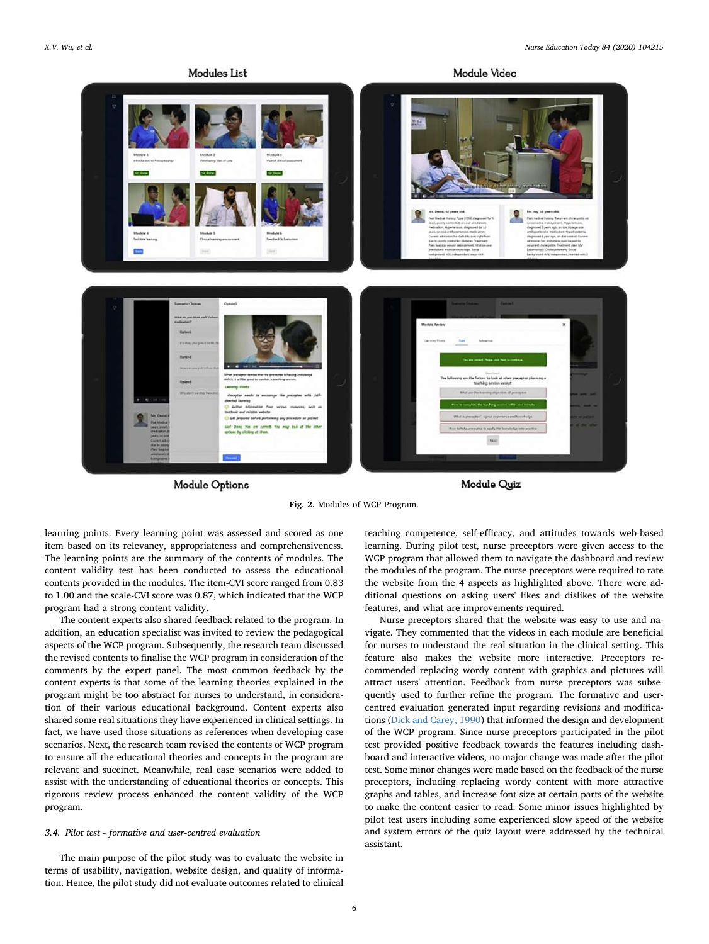<span id="page-5-0"></span>

**Module Options** 

Module Quiz

Fig. 2. Modules of WCP Program.

learning points. Every learning point was assessed and scored as one item based on its relevancy, appropriateness and comprehensiveness. The learning points are the summary of the contents of modules. The content validity test has been conducted to assess the educational contents provided in the modules. The item-CVI score ranged from 0.83 to 1.00 and the scale-CVI score was 0.87, which indicated that the WCP program had a strong content validity.

The content experts also shared feedback related to the program. In addition, an education specialist was invited to review the pedagogical aspects of the WCP program. Subsequently, the research team discussed the revised contents to finalise the WCP program in consideration of the comments by the expert panel. The most common feedback by the content experts is that some of the learning theories explained in the program might be too abstract for nurses to understand, in consideration of their various educational background. Content experts also shared some real situations they have experienced in clinical settings. In fact, we have used those situations as references when developing case scenarios. Next, the research team revised the contents of WCP program to ensure all the educational theories and concepts in the program are relevant and succinct. Meanwhile, real case scenarios were added to assist with the understanding of educational theories or concepts. This rigorous review process enhanced the content validity of the WCP program.

#### 3.4. Pilot test - formative and user-centred evaluation

The main purpose of the pilot study was to evaluate the website in terms of usability, navigation, website design, and quality of information. Hence, the pilot study did not evaluate outcomes related to clinical

teaching competence, self-efficacy, and attitudes towards web-based learning. During pilot test, nurse preceptors were given access to the WCP program that allowed them to navigate the dashboard and review the modules of the program. The nurse preceptors were required to rate the website from the 4 aspects as highlighted above. There were additional questions on asking users' likes and dislikes of the website features, and what are improvements required.

Nurse preceptors shared that the website was easy to use and navigate. They commented that the videos in each module are beneficial for nurses to understand the real situation in the clinical setting. This feature also makes the website more interactive. Preceptors recommended replacing wordy content with graphics and pictures will attract users' attention. Feedback from nurse preceptors was subsequently used to further refine the program. The formative and usercentred evaluation generated input regarding revisions and modifications ([Dick and Carey, 1990](#page-7-25)) that informed the design and development of the WCP program. Since nurse preceptors participated in the pilot test provided positive feedback towards the features including dashboard and interactive videos, no major change was made after the pilot test. Some minor changes were made based on the feedback of the nurse preceptors, including replacing wordy content with more attractive graphs and tables, and increase font size at certain parts of the website to make the content easier to read. Some minor issues highlighted by pilot test users including some experienced slow speed of the website and system errors of the quiz layout were addressed by the technical assistant.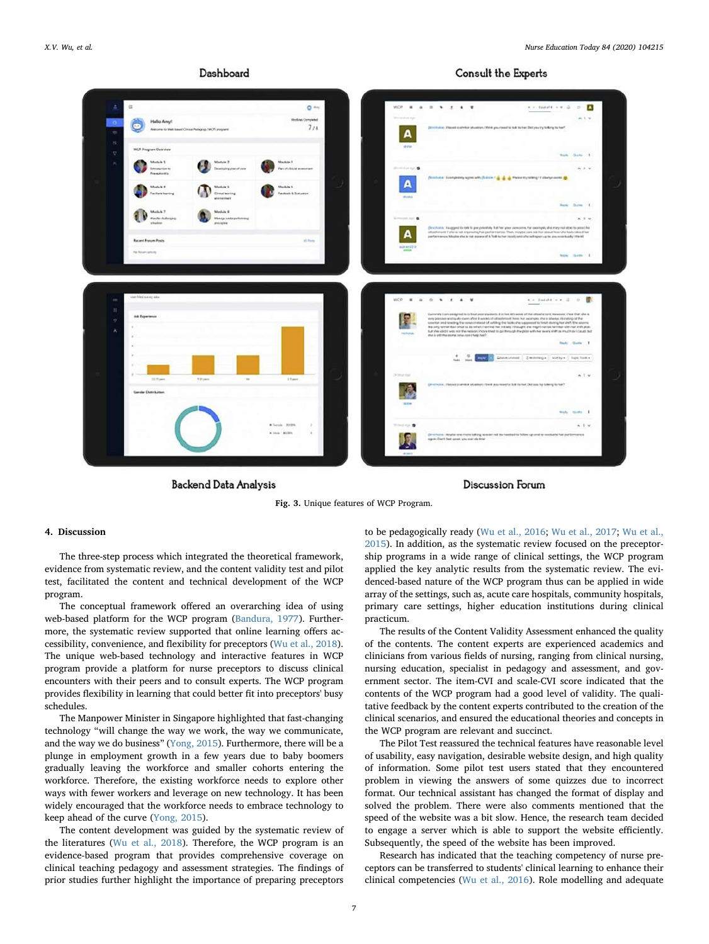# Dashboard



<span id="page-6-0"></span>

**Backend Data Analysis** 

**Discussion Forum** 

Fig. 3. Unique features of WCP Program.

# 4. Discussion

The three-step process which integrated the theoretical framework, evidence from systematic review, and the content validity test and pilot test, facilitated the content and technical development of the WCP program.

The conceptual framework offered an overarching idea of using web-based platform for the WCP program ([Bandura, 1977](#page-7-19)). Furthermore, the systematic review supported that online learning offers accessibility, convenience, and flexibility for preceptors ([Wu et al., 2018](#page-8-5)). The unique web-based technology and interactive features in WCP program provide a platform for nurse preceptors to discuss clinical encounters with their peers and to consult experts. The WCP program provides flexibility in learning that could better fit into preceptors' busy schedules.

The Manpower Minister in Singapore highlighted that fast-changing technology "will change the way we work, the way we communicate, and the way we do business" ([Yong, 2015](#page-8-16)). Furthermore, there will be a plunge in employment growth in a few years due to baby boomers gradually leaving the workforce and smaller cohorts entering the workforce. Therefore, the existing workforce needs to explore other ways with fewer workers and leverage on new technology. It has been widely encouraged that the workforce needs to embrace technology to keep ahead of the curve [\(Yong, 2015\)](#page-8-16).

The content development was guided by the systematic review of the literatures ([Wu et al., 2018](#page-8-5)). Therefore, the WCP program is an evidence-based program that provides comprehensive coverage on clinical teaching pedagogy and assessment strategies. The findings of prior studies further highlight the importance of preparing preceptors to be pedagogically ready ([Wu et al., 2016;](#page-8-2) [Wu et al., 2017](#page-8-1); [Wu et al.,](#page-8-3) [2015\)](#page-8-3). In addition, as the systematic review focused on the preceptorship programs in a wide range of clinical settings, the WCP program applied the key analytic results from the systematic review. The evidenced-based nature of the WCP program thus can be applied in wide array of the settings, such as, acute care hospitals, community hospitals, primary care settings, higher education institutions during clinical practicum.

The results of the Content Validity Assessment enhanced the quality of the contents. The content experts are experienced academics and clinicians from various fields of nursing, ranging from clinical nursing, nursing education, specialist in pedagogy and assessment, and government sector. The item-CVI and scale-CVI score indicated that the contents of the WCP program had a good level of validity. The qualitative feedback by the content experts contributed to the creation of the clinical scenarios, and ensured the educational theories and concepts in the WCP program are relevant and succinct.

The Pilot Test reassured the technical features have reasonable level of usability, easy navigation, desirable website design, and high quality of information. Some pilot test users stated that they encountered problem in viewing the answers of some quizzes due to incorrect format. Our technical assistant has changed the format of display and solved the problem. There were also comments mentioned that the speed of the website was a bit slow. Hence, the research team decided to engage a server which is able to support the website efficiently. Subsequently, the speed of the website has been improved.

Research has indicated that the teaching competency of nurse preceptors can be transferred to students' clinical learning to enhance their clinical competencies [\(Wu et al., 2016\)](#page-8-2). Role modelling and adequate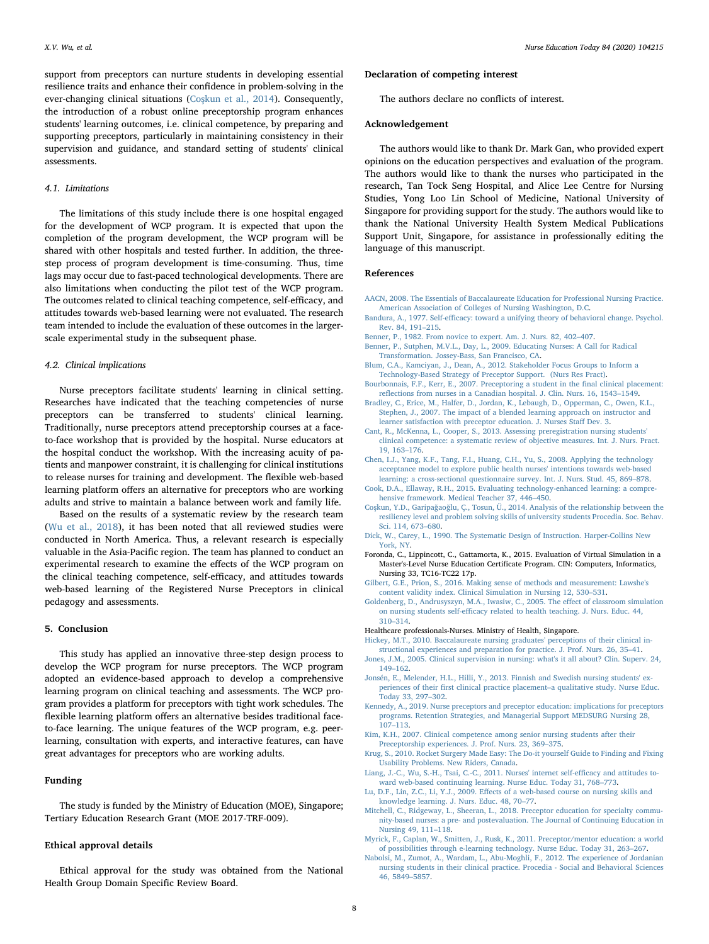support from preceptors can nurture students in developing essential resilience traits and enhance their confidence in problem-solving in the ever-changing clinical situations (Coş[kun et al., 2014](#page-7-26)). Consequently, the introduction of a robust online preceptorship program enhances students' learning outcomes, i.e. clinical competence, by preparing and supporting preceptors, particularly in maintaining consistency in their supervision and guidance, and standard setting of students' clinical assessments.

# 4.1. Limitations

The limitations of this study include there is one hospital engaged for the development of WCP program. It is expected that upon the completion of the program development, the WCP program will be shared with other hospitals and tested further. In addition, the threestep process of program development is time-consuming. Thus, time lags may occur due to fast-paced technological developments. There are also limitations when conducting the pilot test of the WCP program. The outcomes related to clinical teaching competence, self-efficacy, and attitudes towards web-based learning were not evaluated. The research team intended to include the evaluation of these outcomes in the largerscale experimental study in the subsequent phase.

## 4.2. Clinical implications

Nurse preceptors facilitate students' learning in clinical setting. Researches have indicated that the teaching competencies of nurse preceptors can be transferred to students' clinical learning. Traditionally, nurse preceptors attend preceptorship courses at a faceto-face workshop that is provided by the hospital. Nurse educators at the hospital conduct the workshop. With the increasing acuity of patients and manpower constraint, it is challenging for clinical institutions to release nurses for training and development. The flexible web-based learning platform offers an alternative for preceptors who are working adults and strive to maintain a balance between work and family life.

Based on the results of a systematic review by the research team ([Wu et al., 2018](#page-8-5)), it has been noted that all reviewed studies were conducted in North America. Thus, a relevant research is especially valuable in the Asia-Pacific region. The team has planned to conduct an experimental research to examine the effects of the WCP program on the clinical teaching competence, self-efficacy, and attitudes towards web-based learning of the Registered Nurse Preceptors in clinical pedagogy and assessments.

# 5. Conclusion

This study has applied an innovative three-step design process to develop the WCP program for nurse preceptors. The WCP program adopted an evidence-based approach to develop a comprehensive learning program on clinical teaching and assessments. The WCP program provides a platform for preceptors with tight work schedules. The flexible learning platform offers an alternative besides traditional faceto-face learning. The unique features of the WCP program, e.g. peerlearning, consultation with experts, and interactive features, can have great advantages for preceptors who are working adults.

## Funding

The study is funded by the Ministry of Education (MOE), Singapore; Tertiary Education Research Grant (MOE 2017-TRF-009).

#### Ethical approval details

Ethical approval for the study was obtained from the National Health Group Domain Specific Review Board.

#### Declaration of competing interest

The authors declare no conflicts of interest.

#### Acknowledgement

The authors would like to thank Dr. Mark Gan, who provided expert opinions on the education perspectives and evaluation of the program. The authors would like to thank the nurses who participated in the research, Tan Tock Seng Hospital, and Alice Lee Centre for Nursing Studies, Yong Loo Lin School of Medicine, National University of Singapore for providing support for the study. The authors would like to thank the National University Health System Medical Publications Support Unit, Singapore, for assistance in professionally editing the language of this manuscript.

# References

- <span id="page-7-0"></span>[AACN, 2008. The Essentials of Baccalaureate Education for Professional Nursing Practice.](http://refhub.elsevier.com/S0260-6917(19)30484-8/rf0005) [American Association of Colleges of Nursing Washington, D.C.](http://refhub.elsevier.com/S0260-6917(19)30484-8/rf0005)
- <span id="page-7-19"></span>Bandura, A., 1977. Self-effi[cacy: toward a unifying theory of behavioral change. Psychol.](http://refhub.elsevier.com/S0260-6917(19)30484-8/rf0010) [Rev. 84, 191](http://refhub.elsevier.com/S0260-6917(19)30484-8/rf0010)–215.
- <span id="page-7-4"></span>[Benner, P., 1982. From novice to expert. Am. J. Nurs. 82, 402](http://refhub.elsevier.com/S0260-6917(19)30484-8/rf0015)–407.
- <span id="page-7-11"></span>[Benner, P., Sutphen, M.V.L., Day, L., 2009. Educating Nurses: A Call for Radical](http://refhub.elsevier.com/S0260-6917(19)30484-8/rf0020) [Transformation. Jossey-Bass, San Francisco, CA](http://refhub.elsevier.com/S0260-6917(19)30484-8/rf0020).
- <span id="page-7-16"></span>[Blum, C.A., Kamciyan, J., Dean, A., 2012. Stakeholder Focus Groups to Inform a](http://refhub.elsevier.com/S0260-6917(19)30484-8/rf0025) [Technology-Based Strategy of Preceptor Support. \(Nurs Res Pract\).](http://refhub.elsevier.com/S0260-6917(19)30484-8/rf0025)
- <span id="page-7-2"></span>[Bourbonnais, F.F., Kerr, E., 2007. Preceptoring a student in the](http://refhub.elsevier.com/S0260-6917(19)30484-8/rf0030) final clinical placement: refl[ections from nurses in a Canadian hospital. J. Clin. Nurs. 16, 1543](http://refhub.elsevier.com/S0260-6917(19)30484-8/rf0030)–1549.
- <span id="page-7-21"></span>[Bradley, C., Erice, M., Halfer, D., Jordan, K., Lebaugh, D., Opperman, C., Owen, K.L.,](http://refhub.elsevier.com/S0260-6917(19)30484-8/rf0035) [Stephen, J., 2007. The impact of a blended learning approach on instructor and](http://refhub.elsevier.com/S0260-6917(19)30484-8/rf0035) [learner satisfaction with preceptor education. J. Nurses Sta](http://refhub.elsevier.com/S0260-6917(19)30484-8/rf0035)ff Dev. 3.
- <span id="page-7-7"></span>[Cant, R., McKenna, L., Cooper, S., 2013. Assessing preregistration nursing students'](http://refhub.elsevier.com/S0260-6917(19)30484-8/rf0040) [clinical competence: a systematic review of objective measures. Int. J. Nurs. Pract.](http://refhub.elsevier.com/S0260-6917(19)30484-8/rf0040) [19, 163](http://refhub.elsevier.com/S0260-6917(19)30484-8/rf0040)–176.
- <span id="page-7-17"></span>[Chen, I.J., Yang, K.F., Tang, F.I., Huang, C.H., Yu, S., 2008. Applying the technology](http://refhub.elsevier.com/S0260-6917(19)30484-8/rf0045) [acceptance model to explore public health nurses' intentions towards web-based](http://refhub.elsevier.com/S0260-6917(19)30484-8/rf0045)
- <span id="page-7-23"></span>[learning: a cross-sectional questionnaire survey. Int. J. Nurs. Stud. 45, 869](http://refhub.elsevier.com/S0260-6917(19)30484-8/rf0045)–878. [Cook, D.A., Ellaway, R.H., 2015. Evaluating technology-enhanced learning: a compre](http://refhub.elsevier.com/S0260-6917(19)30484-8/rf0050)[hensive framework. Medical Teacher 37, 446](http://refhub.elsevier.com/S0260-6917(19)30484-8/rf0050)–450.
- <span id="page-7-26"></span>Coşkun, Y.D., Garipağaoğ[lu, Ç., Tosun, Ü., 2014. Analysis of the relationship between the](http://refhub.elsevier.com/S0260-6917(19)30484-8/rf0055) [resiliency level and problem solving skills of university students Procedia. Soc. Behav.](http://refhub.elsevier.com/S0260-6917(19)30484-8/rf0055) [Sci. 114, 673](http://refhub.elsevier.com/S0260-6917(19)30484-8/rf0055)–680.
- <span id="page-7-25"></span>[Dick, W., Carey, L., 1990. The Systematic Design of Instruction. Harper-Collins New](http://refhub.elsevier.com/S0260-6917(19)30484-8/rf0060) [York, NY](http://refhub.elsevier.com/S0260-6917(19)30484-8/rf0060).
- <span id="page-7-15"></span>Foronda, C., Lippincott, C., Gattamorta, K., 2015. Evaluation of Virtual Simulation in a Master's-Level Nurse Education Certificate Program. CIN: Computers, Informatics, Nursing 33, TC16-TC22 17p.
- <span id="page-7-24"></span>[Gilbert, G.E., Prion, S., 2016. Making sense of methods and measurement: Lawshe's](http://refhub.elsevier.com/S0260-6917(19)30484-8/rf0065) [content validity index. Clinical Simulation in Nursing 12, 530](http://refhub.elsevier.com/S0260-6917(19)30484-8/rf0065)–531.
- <span id="page-7-20"></span>[Goldenberg, D., Andrusyszyn, M.A., Iwasiw, C., 2005. The e](http://refhub.elsevier.com/S0260-6917(19)30484-8/rf0070)ffect of classroom simulation on nursing students self-effi[cacy related to health teaching. J. Nurs. Educ. 44,](http://refhub.elsevier.com/S0260-6917(19)30484-8/rf0070) 310–[314](http://refhub.elsevier.com/S0260-6917(19)30484-8/rf0070).
- <span id="page-7-1"></span>Healthcare professionals-Nurses. Ministry of Health, Singapore.
- <span id="page-7-3"></span>[Hickey, M.T., 2010. Baccalaureate nursing graduates' perceptions of their clinical in](http://refhub.elsevier.com/S0260-6917(19)30484-8/rf0075)[structional experiences and preparation for practice. J. Prof. Nurs. 26, 35](http://refhub.elsevier.com/S0260-6917(19)30484-8/rf0075)–41.
- <span id="page-7-9"></span>[Jones, J.M., 2005. Clinical supervision in nursing: what's it all about? Clin. Superv. 24,](http://refhub.elsevier.com/S0260-6917(19)30484-8/rf0080) 149–[162](http://refhub.elsevier.com/S0260-6917(19)30484-8/rf0080).
- <span id="page-7-8"></span>[Jonsén, E., Melender, H.L., Hilli, Y., 2013. Finnish and Swedish nursing students' ex](http://refhub.elsevier.com/S0260-6917(19)30484-8/rf0085)periences of their fi[rst clinical practice placement](http://refhub.elsevier.com/S0260-6917(19)30484-8/rf0085)–a qualitative study. Nurse Educ. [Today 33, 297](http://refhub.elsevier.com/S0260-6917(19)30484-8/rf0085)–302.
- <span id="page-7-12"></span>[Kennedy, A., 2019. Nurse preceptors and preceptor education: implications for preceptors](http://refhub.elsevier.com/S0260-6917(19)30484-8/rf0090) [programs. Retention Strategies, and Managerial Support MEDSURG Nursing 28,](http://refhub.elsevier.com/S0260-6917(19)30484-8/rf0090) 107–[113](http://refhub.elsevier.com/S0260-6917(19)30484-8/rf0090).
- <span id="page-7-5"></span>[Kim, K.H., 2007. Clinical competence among senior nursing students after their](http://refhub.elsevier.com/S0260-6917(19)30484-8/rf0095) [Preceptorship experiences. J. Prof. Nurs. 23, 369](http://refhub.elsevier.com/S0260-6917(19)30484-8/rf0095)–375.
- <span id="page-7-22"></span>[Krug, S., 2010. Rocket Surgery Made Easy: The Do-it yourself Guide to Finding and Fixing](http://refhub.elsevier.com/S0260-6917(19)30484-8/rf0100) [Usability Problems. New Riders, Canada](http://refhub.elsevier.com/S0260-6917(19)30484-8/rf0100).
- <span id="page-7-18"></span>[Liang, J.-C., Wu, S.-H., Tsai, C.-C., 2011. Nurses' internet self-e](http://refhub.elsevier.com/S0260-6917(19)30484-8/rf0105)fficacy and attitudes to[ward web-based continuing learning. Nurse Educ. Today 31, 768](http://refhub.elsevier.com/S0260-6917(19)30484-8/rf0105)–773.
- <span id="page-7-13"></span>Lu, D.F., Lin, Z.C., Li, Y.J., 2009. Eff[ects of a web-based course on nursing skills and](http://refhub.elsevier.com/S0260-6917(19)30484-8/rf0110) [knowledge learning. J. Nurs. Educ. 48, 70](http://refhub.elsevier.com/S0260-6917(19)30484-8/rf0110)–77.
- <span id="page-7-10"></span>[Mitchell, C., Ridgeway, L., Sheeran, L., 2018. Preceptor education for specialty commu](http://refhub.elsevier.com/S0260-6917(19)30484-8/rf0115)[nity-based nurses: a pre- and postevaluation. The Journal of Continuing Education in](http://refhub.elsevier.com/S0260-6917(19)30484-8/rf0115) [Nursing 49, 111](http://refhub.elsevier.com/S0260-6917(19)30484-8/rf0115)–118.
- <span id="page-7-14"></span>[Myrick, F., Caplan, W., Smitten, J., Rusk, K., 2011. Preceptor/mentor education: a world](http://refhub.elsevier.com/S0260-6917(19)30484-8/rf0120) [of possibilities through e-learning technology. Nurse Educ. Today 31, 263](http://refhub.elsevier.com/S0260-6917(19)30484-8/rf0120)–267.
- <span id="page-7-6"></span>[Nabolsi, M., Zumot, A., Wardam, L., Abu-Moghli, F., 2012. The experience of Jordanian](http://refhub.elsevier.com/S0260-6917(19)30484-8/rf0125) [nursing students in their clinical practice. Procedia - Social and Behavioral Sciences](http://refhub.elsevier.com/S0260-6917(19)30484-8/rf0125) [46, 5849](http://refhub.elsevier.com/S0260-6917(19)30484-8/rf0125)–5857.